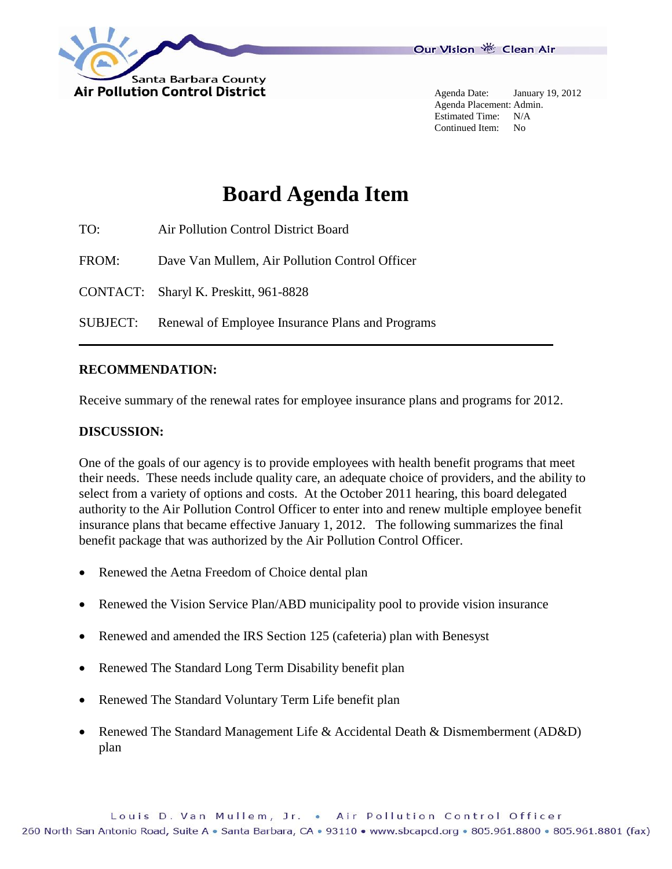

Agenda Date: January 19, 2012 Agenda Placement: Admin. Estimated Time: N/A Continued Item: No

## **Board Agenda Item**

| TO:      | Air Pollution Control District Board             |
|----------|--------------------------------------------------|
| FROM:    | Dave Van Mullem, Air Pollution Control Officer   |
|          | CONTACT: Sharyl K. Preskitt, 961-8828            |
| SUBJECT: | Renewal of Employee Insurance Plans and Programs |

## **RECOMMENDATION:**

Receive summary of the renewal rates for employee insurance plans and programs for 2012.

## **DISCUSSION:**

One of the goals of our agency is to provide employees with health benefit programs that meet their needs. These needs include quality care, an adequate choice of providers, and the ability to select from a variety of options and costs. At the October 2011 hearing, this board delegated authority to the Air Pollution Control Officer to enter into and renew multiple employee benefit insurance plans that became effective January 1, 2012. The following summarizes the final benefit package that was authorized by the Air Pollution Control Officer.

- Renewed the Aetna Freedom of Choice dental plan
- Renewed the Vision Service Plan/ABD municipality pool to provide vision insurance
- Renewed and amended the IRS Section 125 (cafeteria) plan with Benesyst
- Renewed The Standard Long Term Disability benefit plan
- Renewed The Standard Voluntary Term Life benefit plan
- Renewed The Standard Management Life & Accidental Death & Dismemberment (AD&D) plan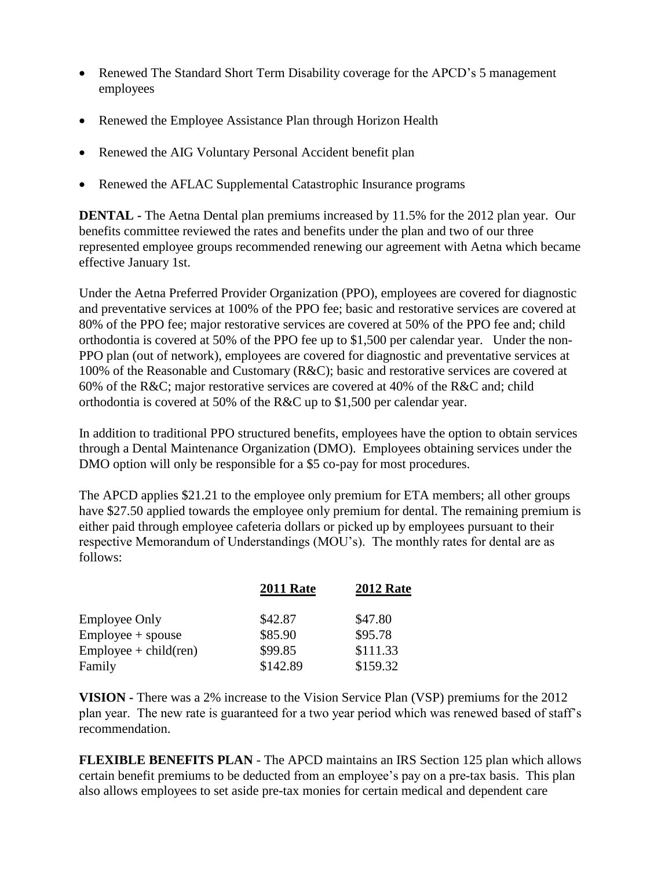- Renewed The Standard Short Term Disability coverage for the APCD's 5 management employees
- Renewed the Employee Assistance Plan through Horizon Health
- Renewed the AIG Voluntary Personal Accident benefit plan
- Renewed the AFLAC Supplemental Catastrophic Insurance programs

**DENTAL -** The Aetna Dental plan premiums increased by 11.5% for the 2012 plan year. Our benefits committee reviewed the rates and benefits under the plan and two of our three represented employee groups recommended renewing our agreement with Aetna which became effective January 1st.

Under the Aetna Preferred Provider Organization (PPO), employees are covered for diagnostic and preventative services at 100% of the PPO fee; basic and restorative services are covered at 80% of the PPO fee; major restorative services are covered at 50% of the PPO fee and; child orthodontia is covered at 50% of the PPO fee up to \$1,500 per calendar year. Under the non-PPO plan (out of network), employees are covered for diagnostic and preventative services at 100% of the Reasonable and Customary (R&C); basic and restorative services are covered at 60% of the R&C; major restorative services are covered at 40% of the R&C and; child orthodontia is covered at 50% of the R&C up to \$1,500 per calendar year.

In addition to traditional PPO structured benefits, employees have the option to obtain services through a Dental Maintenance Organization (DMO). Employees obtaining services under the DMO option will only be responsible for a \$5 co-pay for most procedures.

The APCD applies \$21.21 to the employee only premium for ETA members; all other groups have \$27.50 applied towards the employee only premium for dental. The remaining premium is either paid through employee cafeteria dollars or picked up by employees pursuant to their respective Memorandum of Understandings (MOU's). The monthly rates for dental are as follows:

|                          | <b>2011 Rate</b> | <b>2012 Rate</b> |
|--------------------------|------------------|------------------|
| <b>Employee Only</b>     | \$42.87          | \$47.80          |
| $Emplovee + spouse$      | \$85.90          | \$95.78          |
| $Employee + child (ren)$ | \$99.85          | \$111.33         |
| Family                   | \$142.89         | \$159.32         |

**VISION -** There was a 2% increase to the Vision Service Plan (VSP) premiums for the 2012 plan year. The new rate is guaranteed for a two year period which was renewed based of staff's recommendation.

**FLEXIBLE BENEFITS PLAN** - The APCD maintains an IRS Section 125 plan which allows certain benefit premiums to be deducted from an employee's pay on a pre-tax basis. This plan also allows employees to set aside pre-tax monies for certain medical and dependent care